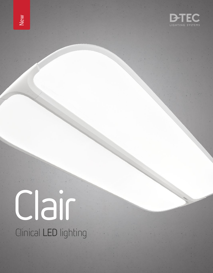



# Clair Clinical LED lighting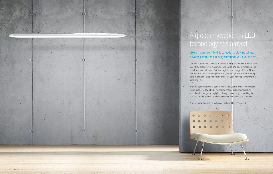

## A great innovation in LED technology has arrived

#### Like a magnificent bird, it spreads its glowing wings. A warm, comfortable feeling surrounds you. Clair is here.

Our aim in designing Clair was to provide clinical environments with a large LED fitting that delivers maximum illumination and colour rendering. The result was so much more. Clair is a hygienic and energy-efficient fitting that emits minimal radiating heat and gives an optimal level of working light. In addition, its appearance blends into your working environment, in spite of its size.

With the dynamic daylight option, you can adjust the level of illumination to simulate real daylight. Being able to change colour temperature according to changes in daylight not only provides a good working light, but also creates a more comfortable feeling and working environment.

A great innovation in LED technology is here. Clair has arrived.



 $\mathcal{L}^{\mathcal{A}}$